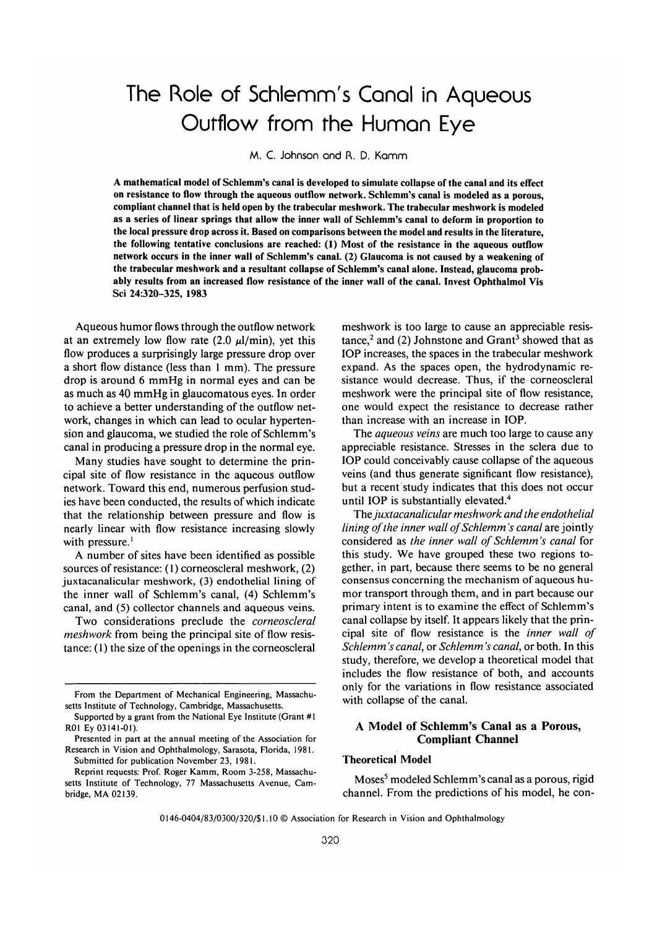# The Role of Schlemm's Canal in Aqueous Outflow from the Human Eye

M. C. Johnson and R. D. Kamm

A mathematical model of Schlemm's canal is developed to simulate collapse of the canal and its effect on resistance to flow through the aqueous outflow network. Schlemm's canal is modeled as a porous, compliant channel that is held open by the trabecular meshwork. The trabecular meshwork is modeled as a series of linear springs that allow the inner wall of Schlemm's canal to deform in proportion to the local pressure drop across it. Based on comparisons between the model and results in the literature, the following tentative conclusions are reached: (1) Most of the resistance in the aqueous outflow network occurs in the inner wall of Schlemm's canal. (2) Glaucoma is not caused by a weakening of the trabecular meshwork and a resultant collapse of Schlemm's canal alone. Instead, glaucoma probably results from an increased flow resistance of the inner wall of the canal. Invest Ophthalmol Vis Sci 24:320-325, 1983

Aqueous humor flows through the outflow network at an extremely low flow rate (2.0  $\mu$ l/min), yet this flow produces a surprisingly large pressure drop over a short flow distance (less than 1 mm). The pressure drop is around 6 mmHg in normal eyes and can be as much as 40 mmHg in glaucomatous eyes. In order to achieve a better understanding of the outflow network, changes in which can lead to ocular hypertension and glaucoma, we studied the role of Schlemm's canal in producing a pressure drop in the normal eye.

Many studies have sought to determine the principal site of flow resistance in the aqueous outflow network. Toward this end, numerous perfusion studies have been conducted, the results of which indicate that the relationship between pressure and flow is nearly linear with flow resistance increasing slowly with pressure.<sup>1</sup>

A number of sites have been identified as possible sources of resistance: (1) corneoscleral meshwork, (2) juxtacanalicular meshwork, (3) endothelial lining of the inner wall of Schlemm's canal, (4) Schlemm's canal, and (5) collector channels and aqueous veins.

Two considerations preclude the *corneoscleral meshwork* from being the principal site of flow resistance: (1) the size of the openings in the corneoscleral

meshwork is too large to cause an appreciable resis $tance<sup>2</sup>$  and (2) Johnstone and Grant<sup>3</sup> showed that as IOP increases, the spaces in the trabecular meshwork expand. As the spaces open, the hydrodynamic resistance would decrease. Thus, if the corneoscleral meshwork were the principal site of flow resistance, one would expect the resistance to decrease rather than increase with an increase in IOP.

The *aqueous veins* are much too large to cause any appreciable resistance. Stresses in the sclera due to IOP could conceivably cause collapse of the aqueous veins (and thus generate significant flow resistance), but a recent study indicates that this does not occur until IOP is substantially elevated.<sup>4</sup>

The *juxtacanalicular meshwork and the endothelial lining of the inner wall of Schlemm's canal are jointly* considered as *the inner wall of Schlemm's canal* for this study. We have grouped these two regions together, in part, because there seems to be no general consensus concerning the mechanism of aqueous humor transport through them, and in part because our primary intent is to examine the effect of Schlemm's canal collapse by itself. It appears likely that the principal site of flow resistance is the *inner wall of Schlemm 's canal,* or *Schlemm 's canal,* or both. In this study, therefore, we develop a theoretical model that includes the flow resistance of both, and accounts only for the variations in flow resistance associated with collapse of the canal.

## A **Model of Schlemm's Canal as a Porous, Compliant Channel**

## **Theoretical Model**

Moses<sup>5</sup> modeled Schlemm's canal as a porous, rigid channel. From the predictions of his model, he con-

0146-0404/83/0300/320/\$ 1.10 © Association for Research in Vision and Ophthalmology

From the Department of Mechanical Engineering, Massachusetts Institute of Technology, Cambridge, Massachusetts.

Supported by a grant from the National Eye Institute (Grant #1 R01 Ey 03141-01).

Presented in part at the annual meeting of the Association for Research in Vision and Ophthalmology, Sarasota, Florida, 1981. Submitted for publication November 23, 1981.

Reprint requests: Prof. Roger Kamm, Room 3-258, Massachusetts Institute of Technology, 77 Massachusetts Avenue, Cambridge, MA 02139.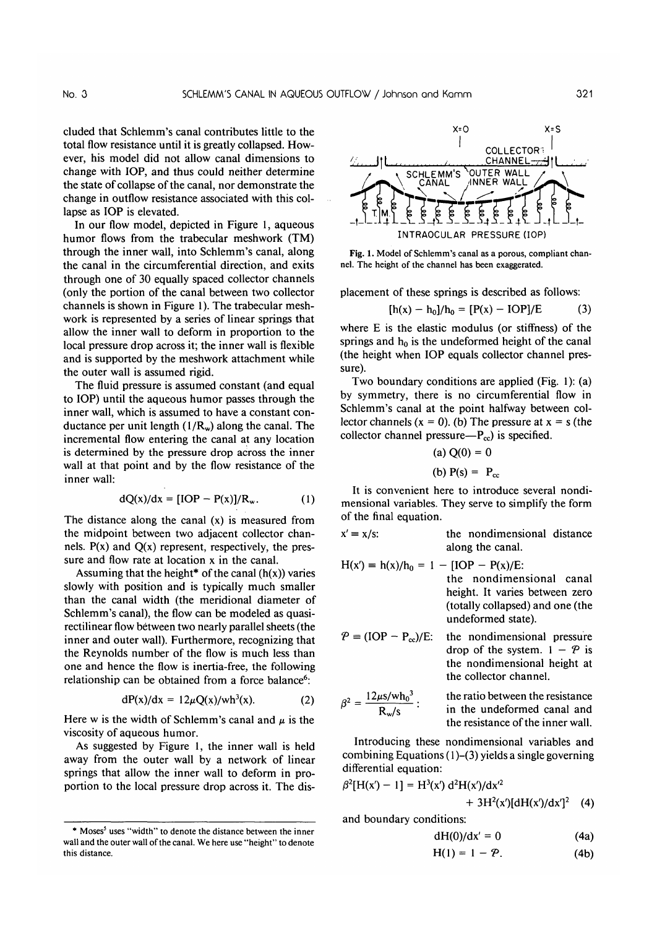change with IOP, and thus could neither determine the state of collapse of the canal, nor demonstrate the change in outflow resistance associated with this collapse as IOP is elevated.

In our flow model, depicted in Figure 1, aqueous humor flows from the trabecular meshwork (TM) through the inner wall, into Schlemm's canal, along the canal in the circumferential direction, and exits through one of 30 equally spaced collector channels (only the portion of the canal between two collector channels is shown in Figure 1). The trabecular meshwork is represented by a series of linear springs that allow the inner wall to deform in proportion to the local pressure drop across it; the inner wall is flexible and is supported by the meshwork attachment while the outer wall is assumed rigid.

The fluid pressure is assumed constant (and equal to IOP) until the aqueous humor passes through the inner wall, which is assumed to have a constant conductance per unit length  $(1/R_w)$  along the canal. The incremental flow entering the canal at any location is determined by the pressure drop across the inner wall at that point and by the flow resistance of the inner wall:

$$
dQ(x)/dx = [IOP - P(x)]/R_w.
$$
 (1)

The distance along the canal (x) is measured from The distance along the canal  $(x)$  is measured from the midpoint between two adjacent collector channels.  $P(x)$  and  $Q(x)$  represent, respectively, the pressure and flow rate at location  $x$  in the canal.

Assuming that the height\* of the canal  $(h(x))$  varies slowly with position and is typically much smaller than the canal width (the meridional diameter of Schlemm's canal), the flow can be modeled as quasirectilinear flow between two nearly parallel sheets (the inner and outer wall). Furthermore, recognizing that the Reynolds number of the flow is much less than one and hence the flow is inertia-free, the following dan oc obtained from a force balance.

$$
dP(x)/dx = 12\mu Q(x)/wh^3(x). \qquad (2)
$$

 $\mathbf{H} = \begin{bmatrix} \mathbf{H} & \mathbf{H} & \mathbf{H} & \mathbf{H} & \mathbf{H} & \mathbf{H} & \mathbf{H} & \mathbf{H} & \mathbf{H} & \mathbf{H} & \mathbf{H} & \mathbf{H} & \mathbf{H} & \mathbf{H} & \mathbf{H} & \mathbf{H} & \mathbf{H} & \mathbf{H} & \mathbf{H} & \mathbf{H} & \mathbf{H} & \mathbf{H} & \mathbf{H} & \mathbf{H} & \mathbf{H} & \mathbf{H} & \mathbf{H} & \mathbf{H} & \mathbf{H} & \mathbf{$ Here w is the width of Schle viscosity of aqueous humor.

As suggested by Figure 1, the inner wall is held away from the outer wall by a network of linear springs that allow the inner wall to deform in proportion to the local pressure drop across it. The dis-

uses "width" to denote the distance between the inner

\* Moses5



Fig. 1. Model of Schlemm's canal as a porous, compliant channel. The height of the channel has been exaggerated.

placement of these springs is described as follows:  $\frac{1}{2}$  -  $\frac{1}{2}$  -  $\frac{1}{2}$  -  $\frac{1}{2}$  -  $\frac{1}{2}$  -  $\frac{1}{2}$  -  $\frac{1}{2}$  -  $\frac{1}{2}$  -  $\frac{1}{2}$  -  $\frac{1}{2}$  -  $\frac{1}{2}$  -  $\frac{1}{2}$  -  $\frac{1}{2}$  -  $\frac{1}{2}$  -  $\frac{1}{2}$  -  $\frac{1}{2}$  -  $\frac{1}{2}$  -  $\frac{1}{2}$  -  $\frac{1$ 

$$
[h(x) - h_0]/h_0 = [P(x) - IOP]/E
$$
 (3)

where E is the elastic modulus (or stiffness) of the  $\frac{1}{2}$ springs and  $h_0$  is the undeformed height of the canal (the height when IOP equals collector channel pressure).  $\mathsf{trp}$ ).

I wo boundary conditions are applied  $(Fig. 1)$ : (a) by symmetry, there is no circumferential flow in Schlemm's canal at the point halfway between collector channels ( $x = 0$ ). (b) The pressure at  $x = s$  (the collector channel pressure— $P_{cc}$ ) is specified.

(a) 
$$
Q(0) = 0
$$
\n(b)  $P(s) = P_{cc}$ 

 $\begin{bmatrix} 0 & 1 & 0 \\ 0 & 0 & 1 \end{bmatrix}$  is  $\begin{bmatrix} 0 & 1 & 0 \\ 0 & 1 & 0 \end{bmatrix}$ It is convenient here to introduce several nondimensional variables. They serve to simplify the form of the final equation.

$$
x' = x/s
$$
: the nondimensional distance along the canal

- $\frac{\text{mong me dam}}{\text{mong}}$  $[IOP - P(x)/E:$ the nondimensional canal height. It varies between zero (totally collapsed) and one (the
- undeformed state).<br>  $P = (IOP P_{cc})/E$ : the nondimension the nondimensional pressure drop of the system.  $1 - P$  is the nondimensional height at<br>the collector channel. 12/iS/whp<sup>3</sup>  $\mathbf{t}_\mathrm{t}$  the ratio between the resistance the resistance of  $\mathbf{t}_\mathrm{t}$
- $\beta^2 = \frac{12 \mu s / wh_0^3}{R_w/s}$ : the ratio between the resistance in the undeformed canal and<br>the resistance of the inner wall.

Introducing these nondimensional variables and Introducing these nondimensional variables and combining Equations  $(1)$ – $(3)$  yields a single governing differential equation:  $\mathcal{L}$ 

$$
\beta^2[H(x')-1] = H^3(x') d^2H(x')/dx'^2
$$

$$
+ 3H2(x')[dH(x')/dx']2 (4)
$$

 $\mathbf{d}$ 

$$
dH(0)/dx' = 0 \tag{4a}
$$

$$
H(1) = 1 - P. \tag{4b}
$$

<sup>\*</sup> Moses<sup>5</sup> uses "width" to denote the distance between the inner wall and the outer wall of the canal. We here use "height" to denote this distance.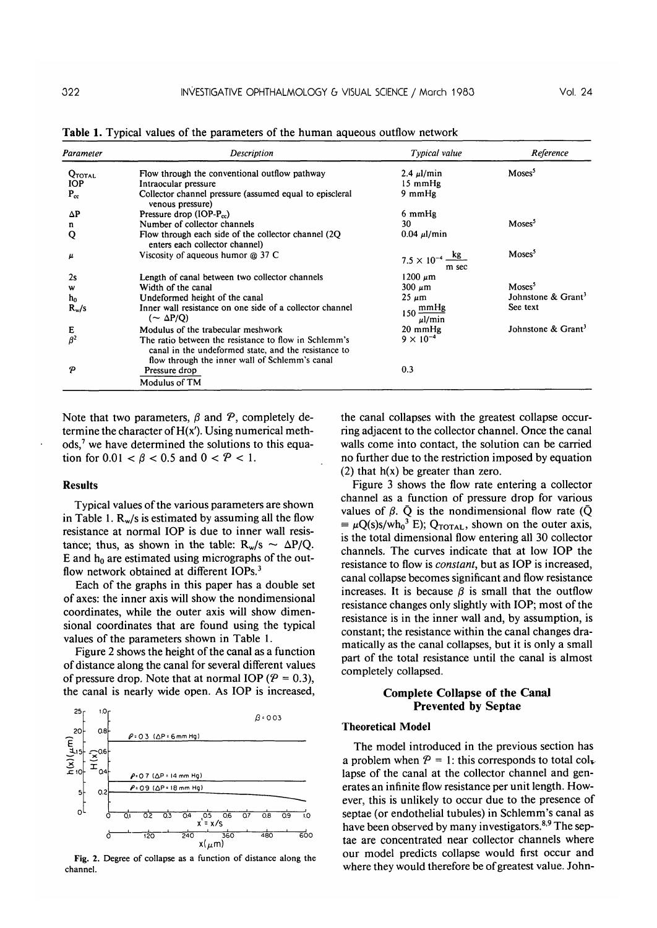| Parameter          | Description                                                                                                                                                     | Typical value                              | Reference                      |
|--------------------|-----------------------------------------------------------------------------------------------------------------------------------------------------------------|--------------------------------------------|--------------------------------|
| <b>QTOTAL</b>      | Flow through the conventional outflow pathway                                                                                                                   | $2.4 \mu$ /min                             | Moses <sup>5</sup>             |
| <b>IOP</b>         | Intraocular pressure                                                                                                                                            | 15 mmHg                                    |                                |
| $P_{cc}$           | Collector channel pressure (assumed equal to episcleral<br>venous pressure)                                                                                     | $9 \text{ mmHg}$                           |                                |
| $\Delta P$         | Pressure drop $(IOP-P_{cc})$                                                                                                                                    | 6 mmHg                                     |                                |
| n                  | Number of collector channels                                                                                                                                    | 30                                         | Moses <sup>5</sup>             |
| Q                  | Flow through each side of the collector channel (2Q)<br>enters each collector channel)                                                                          | $0.04 \mu$ l/min                           |                                |
| $\boldsymbol{\mu}$ | Viscosity of aqueous humor $\omega$ 37 C                                                                                                                        | $7.5 \times 10^{-4} \frac{kg}{m}$<br>m sec | Moses <sup>5</sup>             |
| 2s                 | Length of canal between two collector channels                                                                                                                  | $1200 \ \mu m$                             |                                |
| w                  | Width of the canal                                                                                                                                              | $300 \mu m$                                | Moses <sup>5</sup>             |
| h <sub>o</sub>     | Undeformed height of the canal                                                                                                                                  | $25 \mu m$                                 | Johnstone & $Gran3$            |
| $R_{w}/s$          | Inner wall resistance on one side of a collector channel<br>$(\sim \Delta P/Q)$                                                                                 | $150 \frac{\text{mmHg}}{}$<br>$\mu$ l/min  | See text                       |
| Е                  | Modulus of the trabecular meshwork                                                                                                                              | $20 \text{ mmHg}$                          | Johnstone & Grant <sup>3</sup> |
| $\beta^2$          | The ratio between the resistance to flow in Schlemm's<br>canal in the undeformed state, and the resistance to<br>flow through the inner wall of Schlemm's canal | $9 \times 10^{-4}$                         |                                |
| P                  | Pressure drop<br>Modulus of TM                                                                                                                                  | 0.3                                        |                                |

**Table 1.** Typical values of the parameters of the human aqueous outflow network

Note that two parameters,  $\beta$  and  $\beta$ , completely determine the character of  $H(x')$ . Using numerical methods,<sup>7</sup> we have determined the solutions to this equation for  $0.01 < \beta < 0.5$  and  $0 < P < 1$ .

#### **Results**

Typical values of the various parameters are shown in Table 1.  $R_w/s$  is estimated by assuming all the flow resistance at normal IOP is due to inner wall resistance; thus, as shown in the table:  $R_w/s \sim \Delta P/Q$ . E and  $h_0$  are estimated using micrographs of the outflow network obtained at different IOPs.<sup>3</sup>

Each of the graphs in this paper has a double set of axes: the inner axis will show the nondimensional coordinates, while the outer axis will show dimensional coordinates that are found using the typical values of the parameters shown in Table 1.

Figure 2 shows the height of the canal as a function of distance along the canal for several different values of pressure drop. Note that at normal IOP ( $P = 0.3$ ), the canal is nearly wide open. As IOP is increased,



Fig. 2. Degree of collapse as a function of distance along the channel.

the canal collapses with the greatest collapse occurring adjacent to the collector channel. Once the canal walls come into contact, the solution can be carried no further due to the restriction imposed by equation (2) that  $h(x)$  be greater than zero.

Figure 3 shows the flow rate entering a collector channel as a function of pressure drop for various values of  $\beta$ .  $\bar{Q}$  is the nondimensional flow rate ( $\bar{Q}$  $\equiv \mu Q(s)s/wh_0^3$  E); Q<sub>TOTAL</sub>, shown on the outer axis, is the total dimensional flow entering all 30 collector channels. The curves indicate that at low IOP the resistance to flow is *constant,* but as IOP is increased, canal collapse becomes significant and flow resistance increases. It is because  $\beta$  is small that the outflow resistance changes only slightly with IOP; most of the resistance is in the inner wall and, by assumption, is constant; the resistance within the canal changes dramatically as the canal collapses, but it is only a small part of the total resistance until the canal is almost completely collapsed.

## **Complete Collapse of the Canal Prevented by Septae**

#### **Theoretical Model**

The model introduced in the previous section has a problem when  $P = 1$ : this corresponds to total collapse of the canal at the collector channel and generates an infinite flow resistance per unit length. However, this is unlikely to occur due to the presence of septae (or endothelial tubules) in Schlemm's canal as have been observed by many investigators.<sup>8,9</sup> The septae are concentrated near collector channels where our model predicts collapse would first occur and where they would therefore be of greatest value. John-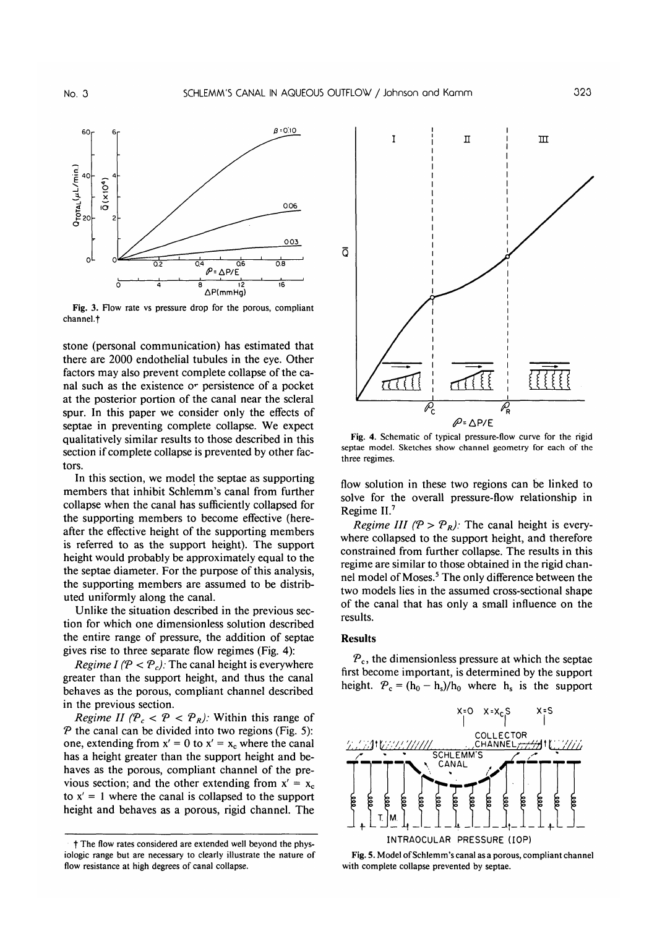

**Fig.** 3. Flow rate vs pressure drop for the porous, compliant channel.<sup>+</sup>

stone (personal communication) has estimated that there are 2000 endothelial tubules in the eye. Other factors may also prevent complete collapse of the canal such as the existence or persistence of a pocket at the posterior portion of the canal near the scleral spur. In this paper we consider only the effects of septae in preventing complete collapse. We expect qualitatively similar results to those described in this section if complete collapse is prevented by other factors.

In this section, we model the septae as supporting members that inhibit Schlemm's canal from further collapse when the canal has sufficiently collapsed for the supporting members to become effective (hereafter the effective height of the supporting members is referred to as the support height). The support height would probably be approximately equal to the the septae diameter. For the purpose of this analysis, the supporting members are assumed to be distributed uniformly along the canal.

Unlike the situation described in the previous section for which one dimensionless solution described the entire range of pressure, the addition of septae gives rise to three separate flow regimes (Fig. 4):

*Regime I (P < P<sub>c</sub>):* The canal height is everywhere greater than the support height, and thus the canal behaves as the porous, compliant channel described in the previous section.

*Regime II (P<sub>c</sub> < P < P<sub>R</sub>): Within this range of*  $P$  the canal can be divided into two regions (Fig. 5): one, extending from  $x' = 0$  to  $x' = x_c$  where the canal has a height greater than the support height and behaves as the porous, compliant channel of the previous section; and the other extending from  $x' = x_c$ to  $x' = 1$  where the canal is collapsed to the support height and behaves as a porous, rigid channel. The



Fig. 4. Schematic of typical pressure-flow curve for the rigid septae model. Sketches show channel geometry for each of the three regimes.

flow solution in these two regions can be linked to solve for the overall pressure-flow relationship in Regime II.7

*Regime III (P > P<sub>R</sub>):* The canal height is everywhere collapsed to the support height, and therefore constrained from further collapse. The results in this regime are similar to those obtained in the rigid channel model of Moses.<sup>5</sup> The only difference between the two models lies in the assumed cross-sectional shape of the canal that has only a small influence on the results.

#### **Results**

*Pc,* the dimensionless pressure at which the septae first become important, is determined by the support height.  $P_c = (h_0 - h_s)/h_0$  where  $h_s$  is the support



**Fig.** 5. Model of Schlemm's canal as a porous, compliant channel with complete collapse prevented by septae.

f The flow rates considered are extended well beyond the physiologic range but are necessary to clearly illustrate the nature of flow resistance at high degrees of canal collapse.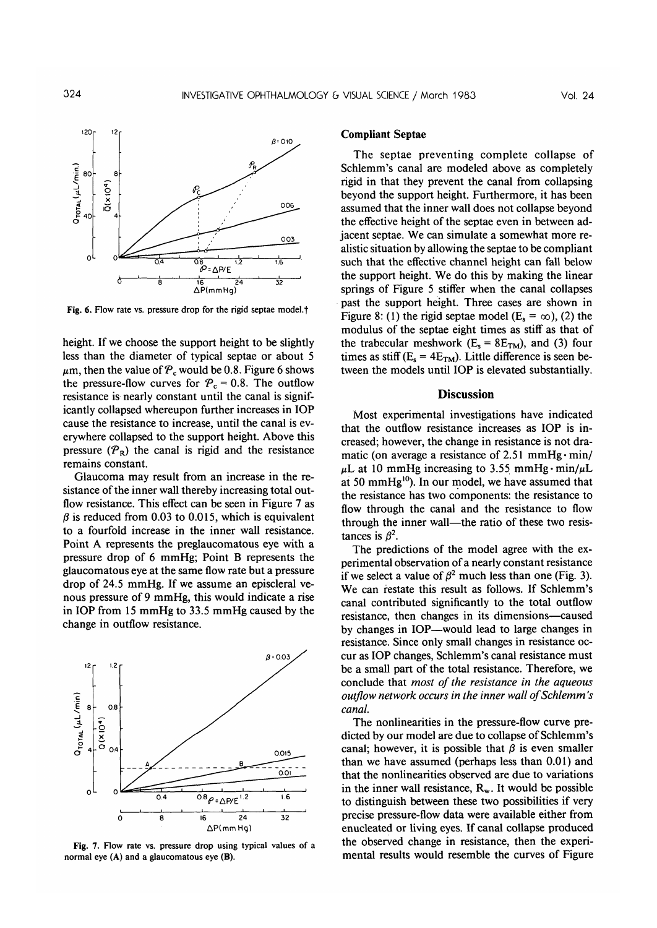

Fig. 6. Flow rate vs. pressure drop for the rigid septae model.<sup>†</sup>

height. If we choose the support height to be slightly less than the diameter of typical septae or about 5  $\mu$ m, then the value of  $P_c$  would be 0.8. Figure 6 shows the pressure-flow curves for  $P_c = 0.8$ . The outflow resistance is nearly constant until the canal is significantly collapsed whereupon further increases in IOP cause the resistance to increase, until the canal is everywhere collapsed to the support height. Above this pressure  $(\mathcal{P}_R)$  the canal is rigid and the resistance remains constant.

Glaucoma may result from an increase in the resistance of the inner wall thereby increasing total outflow resistance. This effect can be seen in Figure 7 as  $\beta$  is reduced from 0.03 to 0.015, which is equivalent to a fourfold increase in the inner wall resistance. Point A represents the preglaucomatous eye with a pressure drop of 6 mmHg; Point B represents the glaucomatous eye at the same flow rate but a pressure drop of 24.5 mmHg. If we assume an episcleral venous pressure of 9 mmHg, this would indicate a rise in IOP from 15 mmHg to 33.5 mmHg caused by the change in outflow resistance.

![](_page_4_Figure_6.jpeg)

**Fig.** 7. Flow rate vs. pressure drop using typical values of a normal eye (A) and a glaucomatous eye (B).

## **Compliant** Septae

The septae preventing complete collapse of Schlemm's canal are modeled above as completely rigid in that they prevent the canal from collapsing beyond the support height. Furthermore, it has been assumed that the inner wall does not collapse beyond the effective height of the septae even in between adjacent septae. We can simulate a somewhat more realistic situation by allowing the septae to be compliant such that the effective channel height can fall below the support height. We do this by making the linear springs of Figure 5 stiffer when the canal collapses past the support height. Three cases are shown in Figure 8: (1) the rigid septae model (E<sub>s</sub> =  $\infty$ ), (2) the modulus of the septae eight times as stiff as that of the trabecular meshwork ( $E_s = 8E_{TM}$ ), and (3) four times as stiff ( $E_s = 4E_{TM}$ ). Little difference is seen between the models until IOP is elevated substantially.

## **Discussion**

Most experimental investigations have indicated that the outflow resistance increases as IOP is increased; however, the change in resistance is not dramatic (on average a resistance of 2.51 mmHg $\cdot$  min/  $\mu$ L at 10 mmHg increasing to 3.55 mmHg $\cdot$ min/ $\mu$ L at 50 mmHg10). In our model, we have assumed that the resistance has two components: the resistance to flow through the canal and the resistance to flow through the inner wall—the ratio of these two resistances is  $\beta^2$ .

The predictions of the model agree with the experimental observation of a nearly constant resistance if we select a value of  $\beta^2$  much less than one (Fig. 3). We can restate this result as follows. If Schlemm's canal contributed significantly to the total outflow resistance, then changes in its dimensions—caused by changes in IOP—would lead to large changes in resistance. Since only small changes in resistance occur as IOP changes, Schlemm's canal resistance must be a small part of the total resistance. Therefore, we conclude that *most of the resistance in the aqueous outflow network occurs in the inner wall of Schlemm's canal.*

The nonlinearities in the pressure-flow curve predicted by our model are due to collapse of Schlemm's canal; however, it is possible that  $\beta$  is even smaller than we have assumed (perhaps less than 0.01) and that the nonlinearities observed are due to variations in the inner wall resistance,  $R_w$ . It would be possible to distinguish between these two possibilities if very precise pressure-flow data were available either from enucleated or living eyes. If canal collapse produced the observed change in resistance, then the experimental results would resemble the curves of Figure